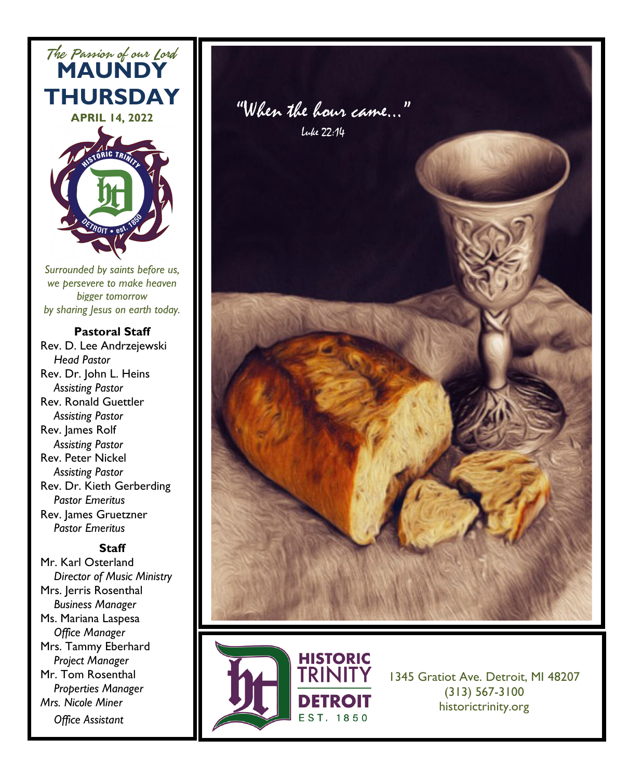

*Surrounded by saints before us, we persevere to make heaven bigger tomorrow by sharing Jesus on earth today.*

#### **Pastoral Staff**

Rev. D. Lee Andrzejewski  *Head Pastor* Rev. Dr. John L. Heins *Assisting Pastor* Rev. Ronald Guettler *Assisting Pastor* Rev. James Rolf  *Assisting Pastor* Rev. Peter Nickel  *Assisting Pastor* Rev. Dr. Kieth Gerberding *Pastor Emeritus*  Rev. James Gruetzner *Pastor Emeritus*

#### **Staff**

Mr. Karl Osterland *Director of Music Ministry* Mrs. Jerris Rosenthal *Business Manager* Ms. Mariana Laspesa *Office Manager* Mrs. Tammy Eberhard  *Project Manager* Mr. Tom Rosenthal *Properties Manager Mrs. Nicole Miner Office Assistant*





1345 Gratiot Ave. Detroit, MI 48207 (313) 567-3100 historictrinity.org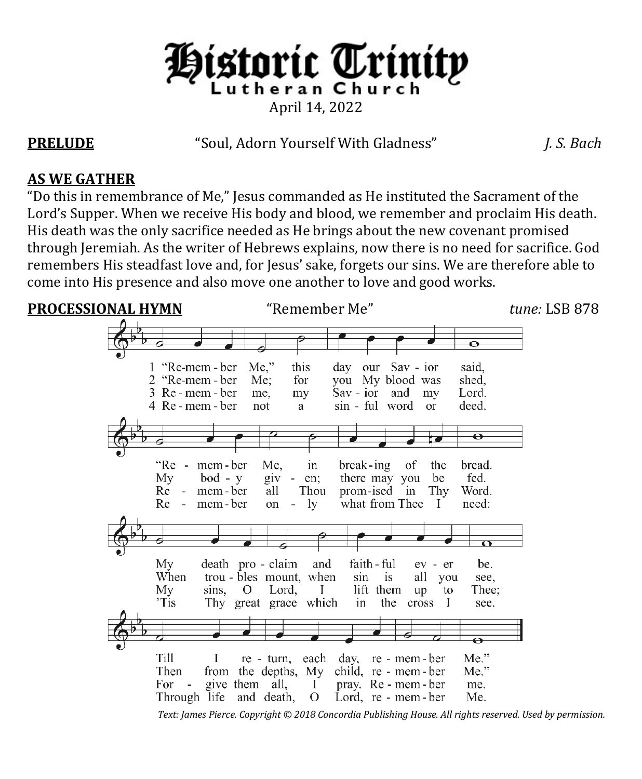

**PRELUDE** "Soul, Adorn Yourself With Gladness" *J. S. Bach*

### **AS WE GATHER**

"Do this in remembrance of Me," Jesus commanded as He instituted the Sacrament of the Lord's Supper. When we receive His body and blood, we remember and proclaim His death. His death was the only sacrifice needed as He brings about the new covenant promised through Jeremiah. As the writer of Hebrews explains, now there is no need for sacrifice. God remembers His steadfast love and, for Jesus' sake, forgets our sins. We are therefore able to come into His presence and also move one another to love and good works.

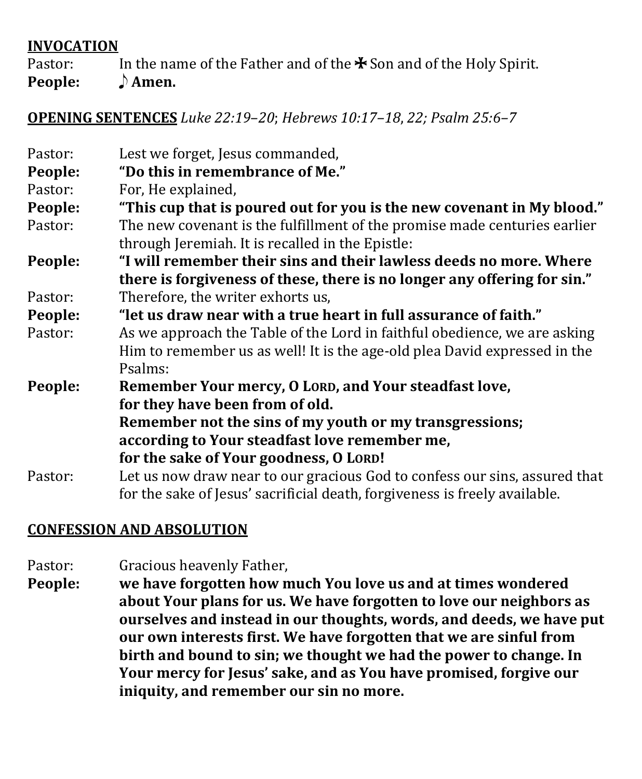#### **INVOCATION**

Pastor: In the name of the Father and of the  $\ast$  Son and of the Holy Spirit.<br>**People:**  $\rightarrow$  **Amen. People:** 

#### **OPENING SENTENCES** *Luke 22:19*–*20*; *Hebrews 10:17–18*, *22; Psalm 25:6–7*

| Pastor: | Lest we forget, Jesus commanded,                                           |  |
|---------|----------------------------------------------------------------------------|--|
| People: | "Do this in remembrance of Me."                                            |  |
| Pastor: | For, He explained,                                                         |  |
| People: | "This cup that is poured out for you is the new covenant in My blood."     |  |
| Pastor: | The new covenant is the fulfillment of the promise made centuries earlier  |  |
|         | through Jeremiah. It is recalled in the Epistle:                           |  |
| People: | "I will remember their sins and their lawless deeds no more. Where         |  |
|         | there is forgiveness of these, there is no longer any offering for sin."   |  |
| Pastor: | Therefore, the writer exhorts us,                                          |  |
| People: | "let us draw near with a true heart in full assurance of faith."           |  |
| Pastor: | As we approach the Table of the Lord in faithful obedience, we are asking  |  |
|         | Him to remember us as well! It is the age-old plea David expressed in the  |  |
|         | Psalms:                                                                    |  |
| People: | Remember Your mercy, O LORD, and Your steadfast love,                      |  |
|         | for they have been from of old.                                            |  |
|         | Remember not the sins of my youth or my transgressions;                    |  |
|         | according to Your steadfast love remember me,                              |  |
|         | for the sake of Your goodness, O LORD!                                     |  |
| Pastor: | Let us now draw near to our gracious God to confess our sins, assured that |  |
|         | for the sake of Jesus' sacrificial death, forgiveness is freely available. |  |

## **CONFESSION AND ABSOLUTION**

- Pastor: Gracious heavenly Father,<br>**People:** we have forgotten how n
- **People: we have forgotten how much You love us and at times wondered about Your plans for us. We have forgotten to love our neighbors as ourselves and instead in our thoughts, words, and deeds, we have put our own interests first. We have forgotten that we are sinful from birth and bound to sin; we thought we had the power to change. In Your mercy for Jesus' sake, and as You have promised, forgive our iniquity, and remember our sin no more.**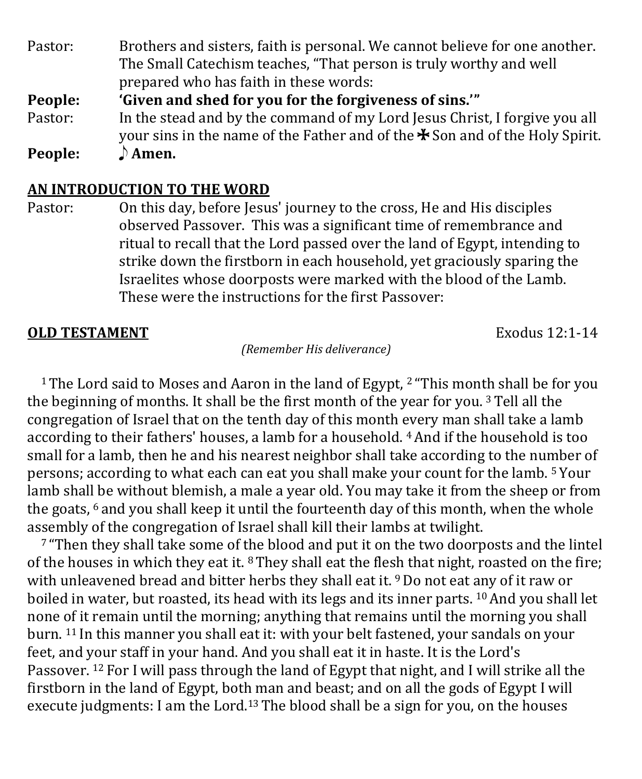Pastor: Brothers and sisters, faith is personal. We cannot believe for one another. The Small Catechism teaches, "That person is truly worthy and well prepared who has faith in these words: **People: 'Given and shed for you for the forgiveness of sins.'"** Pastor: In the stead and by the command of my Lord Jesus Christ, I forgive you all your sins in the name of the Father and of the  $\ast$  Son and of the Holy Spirit.<br> $\Lambda$  **Amen.** 

**People:** 

#### **AN INTRODUCTION TO THE WORD**

Pastor: On this day, before Jesus' journey to the cross, He and His disciples observed Passover. This was a significant time of remembrance and ritual to recall that the Lord passed over the land of Egypt, intending to strike down the firstborn in each household, yet graciously sparing the Israelites whose doorposts were marked with the blood of the Lamb. These were the instructions for the first Passover:

#### **OLD TESTAMENT** Exodus 12:1-14

*(Remember His deliverance)*

<sup>1</sup> The Lord said to Moses and Aaron in the land of Egypt, <sup>2</sup> "This month shall be for you the beginning of months. It shall be the first month of the year for you.<sup>3</sup> Tell all the congregation of Israel that on the tenth day of this month every man shall take a lamb according to their fathers' houses, a lamb for a household. 4And if the household is too small for a lamb, then he and his nearest neighbor shall take according to the number of persons; according to what each can eat you shall make your count for the lamb. <sup>5</sup> Your lamb shall be without blemish, a male a year old. You may take it from the sheep or from the goats,  $6$  and you shall keep it until the fourteenth day of this month, when the whole assembly of the congregation of Israel shall kill their lambs at twilight.

<sup>7</sup> "Then they shall take some of the blood and put it on the two doorposts and the lintel of the houses in which they eat it.  $8$  They shall eat the flesh that night, roasted on the fire; with unleavened bread and bitter herbs they shall eat it. <sup>9</sup> Do not eat any of it raw or boiled in water, but roasted, its head with its legs and its inner parts. <sup>10</sup> And you shall let none of it remain until the morning; anything that remains until the morning you shall burn. <sup>11</sup> In this manner you shall eat it: with your belt fastened, your sandals on your feet, and your staff in your hand. And you shall eat it in haste. It is the Lord's Passover. <sup>12</sup> For I will pass through the land of Egypt that night, and I will strike all the firstborn in the land of Egypt, both man and beast; and on all the gods of Egypt I will execute judgments: I am the Lord.<sup>13</sup> The blood shall be a sign for you, on the houses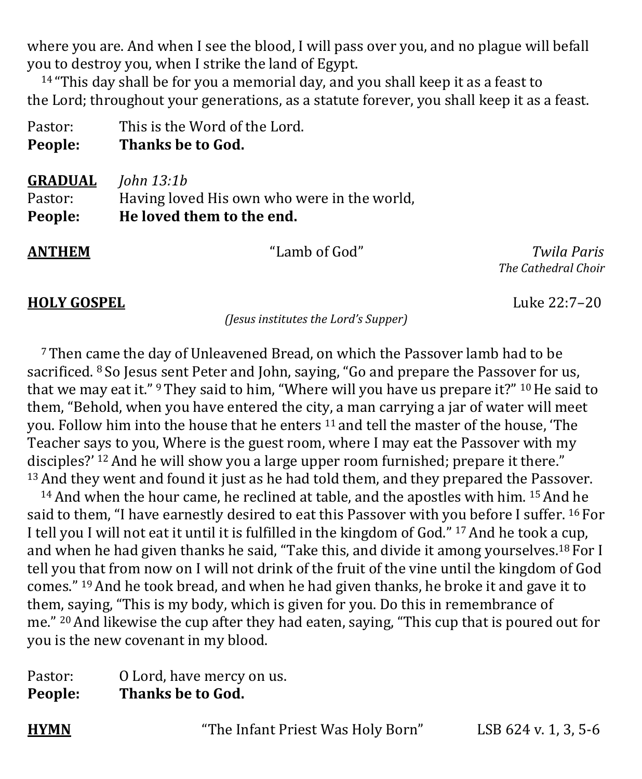where you are. And when I see the blood, I will pass over you, and no plague will befall you to destroy you, when I strike the land of Egypt.

 $14$  "This day shall be for you a memorial day, and you shall keep it as a feast to the Lord; throughout your generations, as a statute forever, you shall keep it as a feast.

| Pastor:        | This is the Word of the Lord.               |
|----------------|---------------------------------------------|
| People:        | Thanks be to God.                           |
| <b>GRADUAL</b> | John $13:1b$                                |
| Pastor:        | Having loved His own who were in the world, |
| People:        | He loved them to the end.                   |

**ANTHEM** "Lamb of God" *Twila Paris The Cathedral Choir*

#### **HOLY GOSPEL** Luke 22:7–20

*(Jesus institutes the Lord's Supper)*

<sup>7</sup> Then came the day of Unleavened Bread, on which the Passover lamb had to be sacrificed. <sup>8</sup> So Jesus sent Peter and John, saying, "Go and prepare the Passover for us, that we may eat it." <sup>9</sup> They said to him, "Where will you have us prepare it?" <sup>10</sup> He said to them, "Behold, when you have entered the city, a man carrying a jar of water will meet you. Follow him into the house that he enters <sup>11</sup> and tell the master of the house, 'The Teacher says to you, Where is the guest room, where I may eat the Passover with my disciples?' <sup>12</sup> And he will show you a large upper room furnished; prepare it there." <sup>13</sup> And they went and found it just as he had told them, and they prepared the Passover.

<sup>14</sup> And when the hour came, he reclined at table, and the apostles with him. <sup>15</sup> And he said to them, "I have earnestly desired to eat this Passover with you before I suffer. <sup>16</sup> For I tell you I will not eat it until it is fulfilled in the kingdom of God." <sup>17</sup> And he took a cup, and when he had given thanks he said, "Take this, and divide it among yourselves.<sup>18</sup> For I tell you that from now on I will not drink of the fruit of the vine until the kingdom of God comes." 19And he took bread, and when he had given thanks, he broke it and gave it to them, saying, "This is my body, which is given for you. Do this in remembrance of me." 20And likewise the cup after they had eaten, saying, "This cup that is poured out for you is the new covenant in my blood.

| Pastor: | O Lord, have mercy on us. |
|---------|---------------------------|
| People: | Thanks be to God.         |

**HYMN** "The Infant Priest Was Holy Born" LSB 624 v. 1, 3, 5-6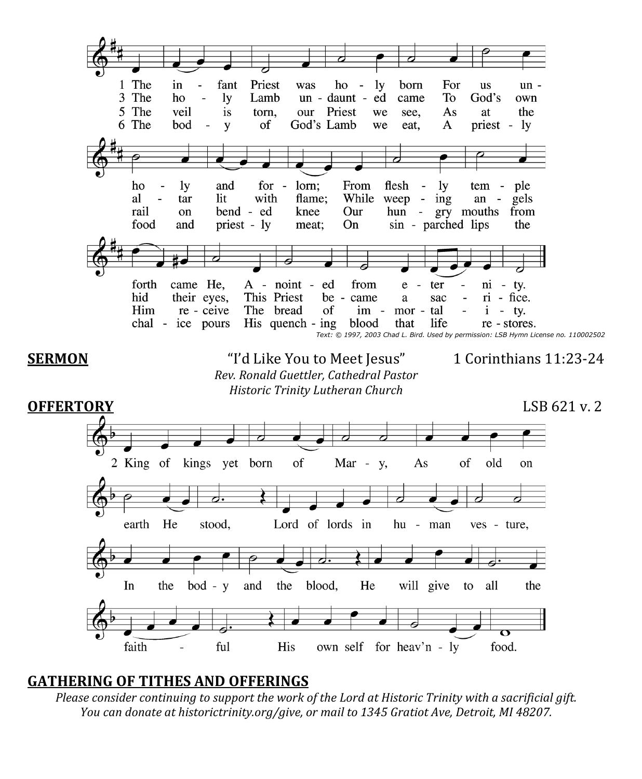

#### **GATHERING OF TITHES AND OFFERINGS**

*Please consider continuing to support the work of the Lord at Historic Trinity with a sacrificial gift. You can donate at historictrinity.org/give, or mail to 1345 Gratiot Ave, Detroit, MI 48207.*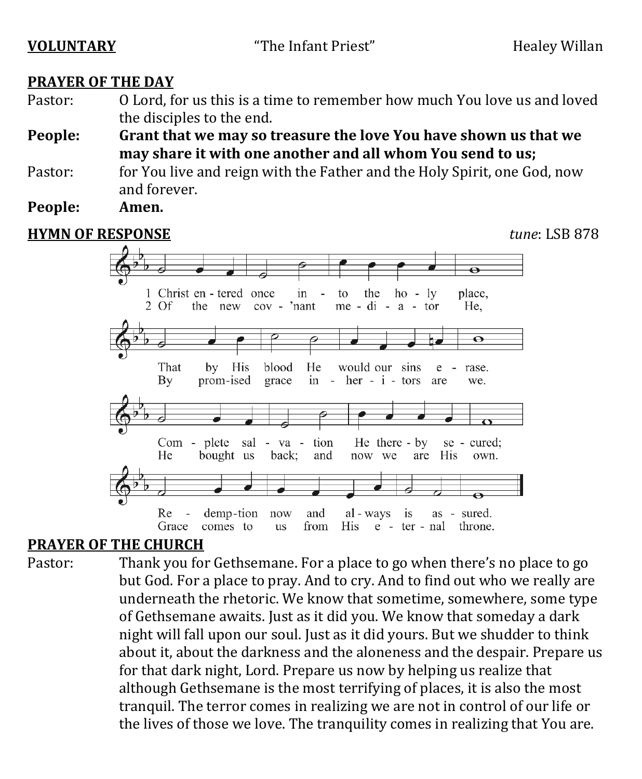| <b>VOLUNTARY</b> |
|------------------|
|------------------|

#### **PRAYER OF THE DAY**

Pastor: O Lord, for us this is a time to remember how much You love us and loved the disciples to the end.

**People: Grant that we may so treasure the love You have shown us that we may share it with one another and all whom You send to us;**

- Pastor: for You live and reign with the Father and the Holy Spirit, one God, now and forever.<br>**Amen**.
- **People:**

# **HYMN OF RESPONSE** *tune*: LSB 878



#### **PRAYER OF THE CHURCH**

Pastor: Thank you for Gethsemane. For a place to go when there's no place to go but God. For a place to pray. And to cry. And to find out who we really are underneath the rhetoric. We know that sometime, somewhere, some type of Gethsemane awaits. Just as it did you. We know that someday a dark night will fall upon our soul. Just as it did yours. But we shudder to think about it, about the darkness and the aloneness and the despair. Prepare us for that dark night, Lord. Prepare us now by helping us realize that although Gethsemane is the most terrifying of places, it is also the most tranquil. The terror comes in realizing we are not in control of our life or the lives of those we love. The tranquility comes in realizing that You are.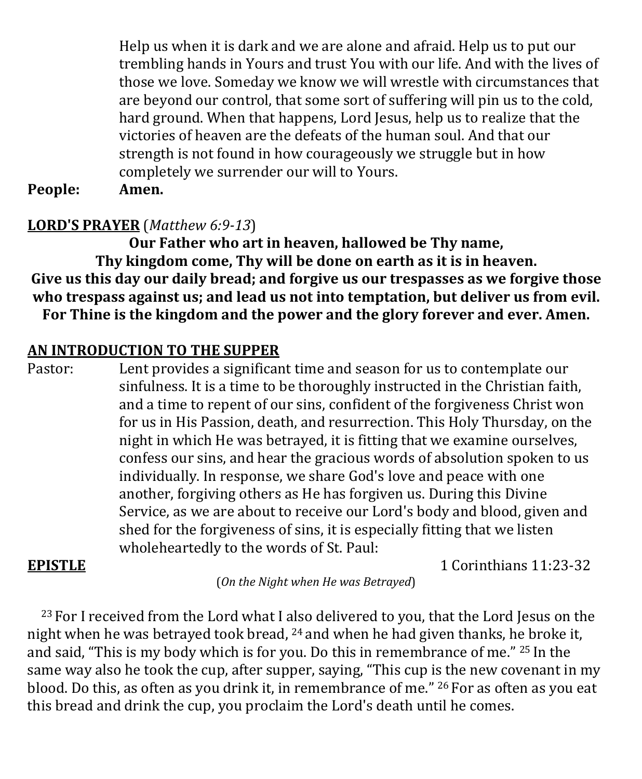Help us when it is dark and we are alone and afraid. Help us to put our trembling hands in Yours and trust You with our life. And with the lives of those we love. Someday we know we will wrestle with circumstances that are beyond our control, that some sort of suffering will pin us to the cold, hard ground. When that happens, Lord Jesus, help us to realize that the victories of heaven are the defeats of the human soul. And that our strength is not found in how courageously we struggle but in how completely we surrender our will to Yours.<br>Amen.

**People:** 

#### **LORD'S PRAYER** (*Matthew 6:9-13*)

**Our Father who art in heaven, hallowed be Thy name, Thy kingdom come, Thy will be done on earth as it is in heaven. Give us this day our daily bread; and forgive us our trespasses as we forgive those who trespass against us; and lead us not into temptation, but deliver us from evil. For Thine is the kingdom and the power and the glory forever and ever. Amen.**

#### **AN INTRODUCTION TO THE SUPPER**

Pastor: Lent provides a significant time and season for us to contemplate our sinfulness. It is a time to be thoroughly instructed in the Christian faith, and a time to repent of our sins, confident of the forgiveness Christ won for us in His Passion, death, and resurrection. This Holy Thursday, on the night in which He was betrayed, it is fitting that we examine ourselves, confess our sins, and hear the gracious words of absolution spoken to us individually. In response, we share God's love and peace with one another, forgiving others as He has forgiven us. During this Divine Service, as we are about to receive our Lord's body and blood, given and shed for the forgiveness of sins, it is especially fitting that we listen wholeheartedly to the words of St. Paul:

#### **EPISTLE** 1 Corinthians 11:23-32

(*On the Night when He was Betrayed*)

<sup>23</sup> For I received from the Lord what I also delivered to you, that the Lord Jesus on the night when he was betrayed took bread, <sup>24</sup> and when he had given thanks, he broke it, and said, "This is my body which is for you. Do this in remembrance of me." <sup>25</sup> In the same way also he took the cup, after supper, saying, "This cup is the new covenant in my blood. Do this, as often as you drink it, in remembrance of me." <sup>26</sup> For as often as you eat this bread and drink the cup, you proclaim the Lord's death until he comes.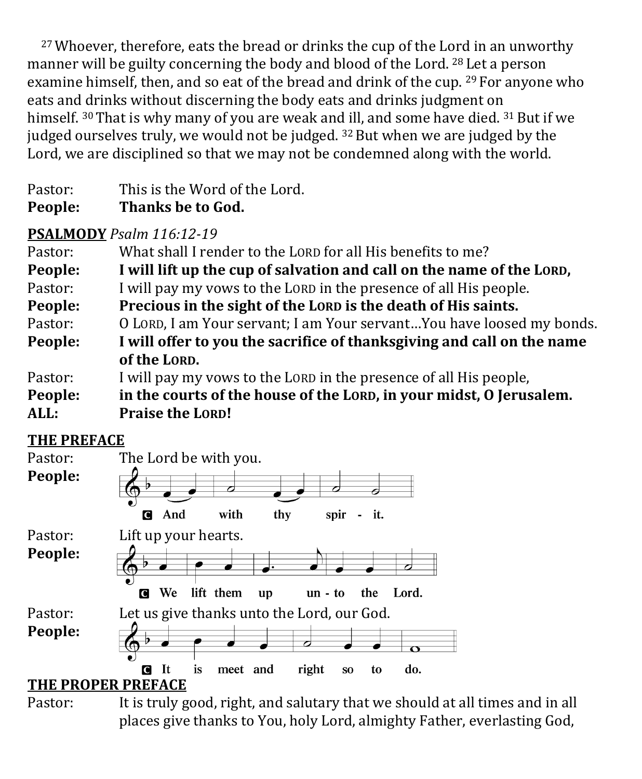<sup>27</sup> Whoever, therefore, eats the bread or drinks the cup of the Lord in an unworthy manner will be guilty concerning the body and blood of the Lord. <sup>28</sup> Let a person examine himself, then, and so eat of the bread and drink of the cup. <sup>29</sup> For anyone who eats and drinks without discerning the body eats and drinks judgment on himself.  $30$  That is why many of you are weak and ill, and some have died.  $31$  But if we judged ourselves truly, we would not be judged.  $32$  But when we are judged by the Lord, we are disciplined so that we may not be condemned along with the world.

| People: | Thanks be to God.             |
|---------|-------------------------------|
| Pastor: | This is the Word of the Lord. |

# **PSALMODY** *Psalm 116:12-19*

| What shall I render to the LORD for all His benefits to me?             |  |
|-------------------------------------------------------------------------|--|
| I will lift up the cup of salvation and call on the name of the LORD,   |  |
| I will pay my vows to the LORD in the presence of all His people.       |  |
| Precious in the sight of the LORD is the death of His saints.           |  |
| O LORD, I am Your servant; I am Your servant You have loosed my bonds.  |  |
| I will offer to you the sacrifice of thanks giving and call on the name |  |
| of the LORD.                                                            |  |
| I will pay my vows to the LORD in the presence of all His people,       |  |
| in the courts of the house of the LORD, in your midst, O Jerusalem.     |  |
| <b>Praise the LORD!</b>                                                 |  |
|                                                                         |  |

# **THE PREFACE**



Pastor: It is truly good, right, and salutary that we should at all times and in all places give thanks to You, holy Lord, almighty Father, everlasting God,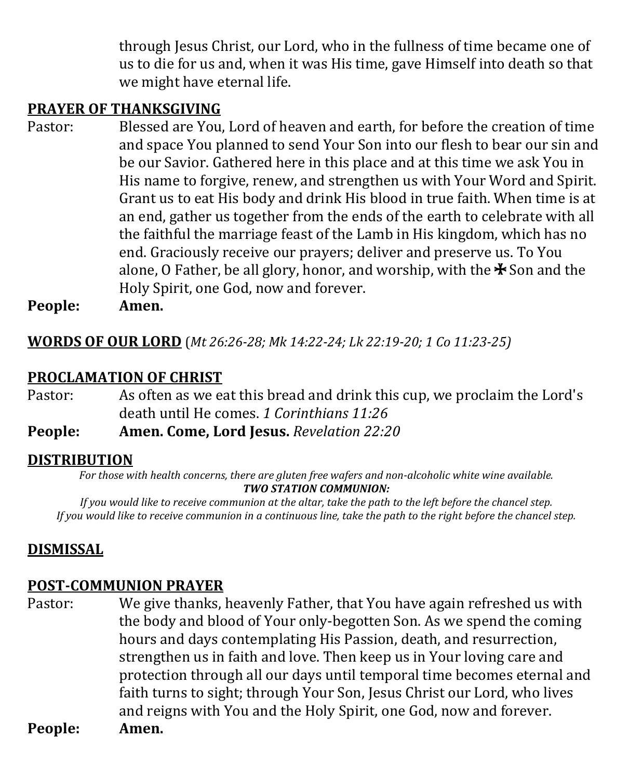through Jesus Christ, our Lord, who in the fullness of time became one of us to die for us and, when it was His time, gave Himself into death so that we might have eternal life.

### **PRAYER OF THANKSGIVING**

Pastor: Blessed are You, Lord of heaven and earth, for before the creation of time and space You planned to send Your Son into our flesh to bear our sin and be our Savior. Gathered here in this place and at this time we ask You in His name to forgive, renew, and strengthen us with Your Word and Spirit. Grant us to eat His body and drink His blood in true faith. When time is at an end, gather us together from the ends of the earth to celebrate with all the faithful the marriage feast of the Lamb in His kingdom, which has no end. Graciously receive our prayers; deliver and preserve us. To You alone, O Father, be all glory, honor, and worship, with the  $\clubsuit$  Son and the Holy Spirit, one God, now and forever.

**People: Amen.**

**WORDS OF OUR LORD** (*Mt 26:26-28; Mk 14:22-24; Lk 22:19-20; 1 Co 11:23-25)*

#### **PROCLAMATION OF CHRIST**

- Pastor: As often as we eat this bread and drink this cup, we proclaim the Lord's death until He comes. *1 Corinthians 11:26*
- **People: Amen. Come, Lord Jesus.** *Revelation 22:20*

#### **DISTRIBUTION**

*For those with health concerns, there are gluten free wafers and non-alcoholic white wine available. TWO STATION COMMUNION:*

*If you would like to receive communion at the altar, take the path to the left before the chancel step. If you would like to receive communion in a continuous line, take the path to the right before the chancel step.*

## **DISMISSAL**

#### **POST-COMMUNION PRAYER**

Pastor: We give thanks, heavenly Father, that You have again refreshed us with the body and blood of Your only-begotten Son. As we spend the coming hours and days contemplating His Passion, death, and resurrection, strengthen us in faith and love. Then keep us in Your loving care and protection through all our days until temporal time becomes eternal and faith turns to sight; through Your Son, Jesus Christ our Lord, who lives and reigns with You and the Holy Spirit, one God, now and forever.<br>Amen. **People:**